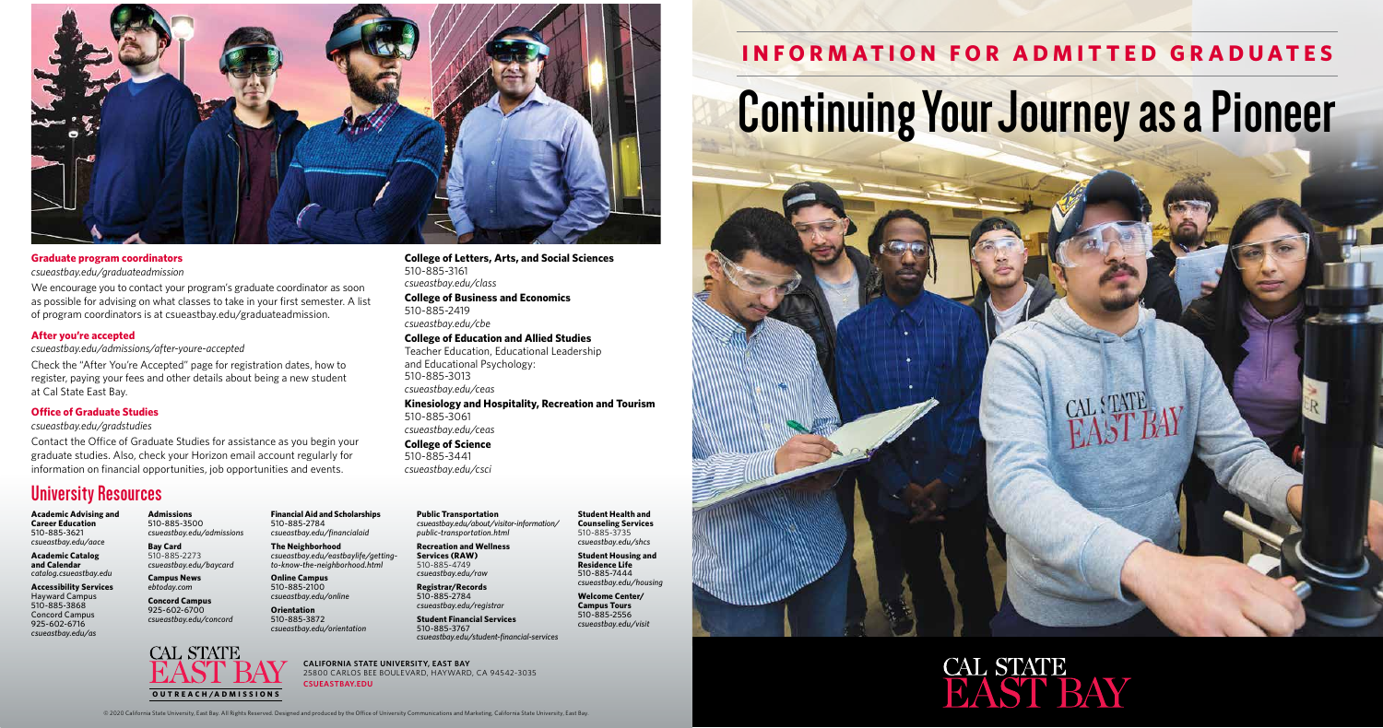

510-885-3161 *csueastbay.edu/class*

**College of Business and Economics**

510-885-2419 *csueastbay.edu/cbe*

**College of Education and Allied Studies** Teacher Education, Educational Leadership

and Educational Psychology:

510-885-3013 *csueastbay.edu/ceas*

**Kinesiology and Hospitality, Recreation and Tourism**

510-885-3061 *csueastbay.edu/ceas* **College of Science** 510-885-3441 *csueastbay.edu/csci*

#### **Graduate program coordinators**

*csueastbay.edu/graduateadmission*

We encourage you to contact your program's graduate coordinator as soon as possible for advising on what classes to take in your first semester. A list of program coordinators is at csueastbay.edu/graduateadmission.

#### **After you're accepted**

*csueastbay.edu/admissions/after-youre-accepted*

**CAL STATE OUTR E A C H / A D M I S S I O N S**

Check the "After You're Accepted" page for registration dates, how to register, paying your fees and other details about being a new student at Cal State East Bay.

#### **Office of Graduate Studies**

*csueastbay.edu/gradstudies*

Contact the Office of Graduate Studies for assistance as you begin your graduate studies. Also, check your Horizon email account regularly for information on financial opportunities, job opportunities and events.

© 2020 California State University, East Bay. All Rights Reserved. Designed and produced by the Office of University Communications and Marketing, California State University, East Bay.

# CAL STATE<br>EAST BAY

CAL STATE

**CALIFORNIA STATE UNIVERSITY, EAST BAY**  25800 CARLOS BEE BOULEVARD, HAYWARD, CA 94542-3035 **CSUEASTBAY.EDU**

**Academic Advising and Career Education** 510-885-3621 *csueastbay.edu/aace*

**Academic Catalog and Calendar** *catalog.csueastbay.edu*

**Accessibility Services** Hayward Campus 510-885-3868 Concord Campus 925-602-6716 *csueastbay.edu/as*

**Admissions** 510-885-3500 *csueastbay.edu/admissions*

**Bay Card** 510-885-2273 *csueastbay.edu/baycard*

**Campus News** *ebtoday.com*

**Concord Campus** 925-602-6700 *csueastbay.edu/concord*

**Financial Aid and Scholarships** 510-885-2784 *csueastbay.edu/financialaid*

**The Neighborhood** *csueastbay.edu/eastbaylife/gettingto-know-the-neighborhood.html*

**Online Campus**

510-885-2100 *csueastbay.edu/online*

**Orientation** 510-885-3872 *csueastbay.edu/orientation*

## **University Resources**

**Public Transportation** *csueastbay.edu/about/visitor-information/ public-transportation.html*

**Recreation and Wellness Services (RAW)** 510-885-4749 *csueastbay.edu/raw*

**Registrar/Records** 510-885-2784 *csueastbay.edu/registrar*

**Student Financial Services** 510-885-3767 *csueastbay.edu/student-financial-services* **Student Health and Counseling Services** 510-885-3735 *csueastbay.edu/shcs*

**Student Housing and Residence Life** 510-885-7444 *csueastbay.edu/housing*

**Welcome Center/ Campus Tours** 510-885-2556 *csueastbay.edu/visit*

# **INFORMATION FOR ADMITTED GRADUATES Continuing Your Journeyas a Pioneer**